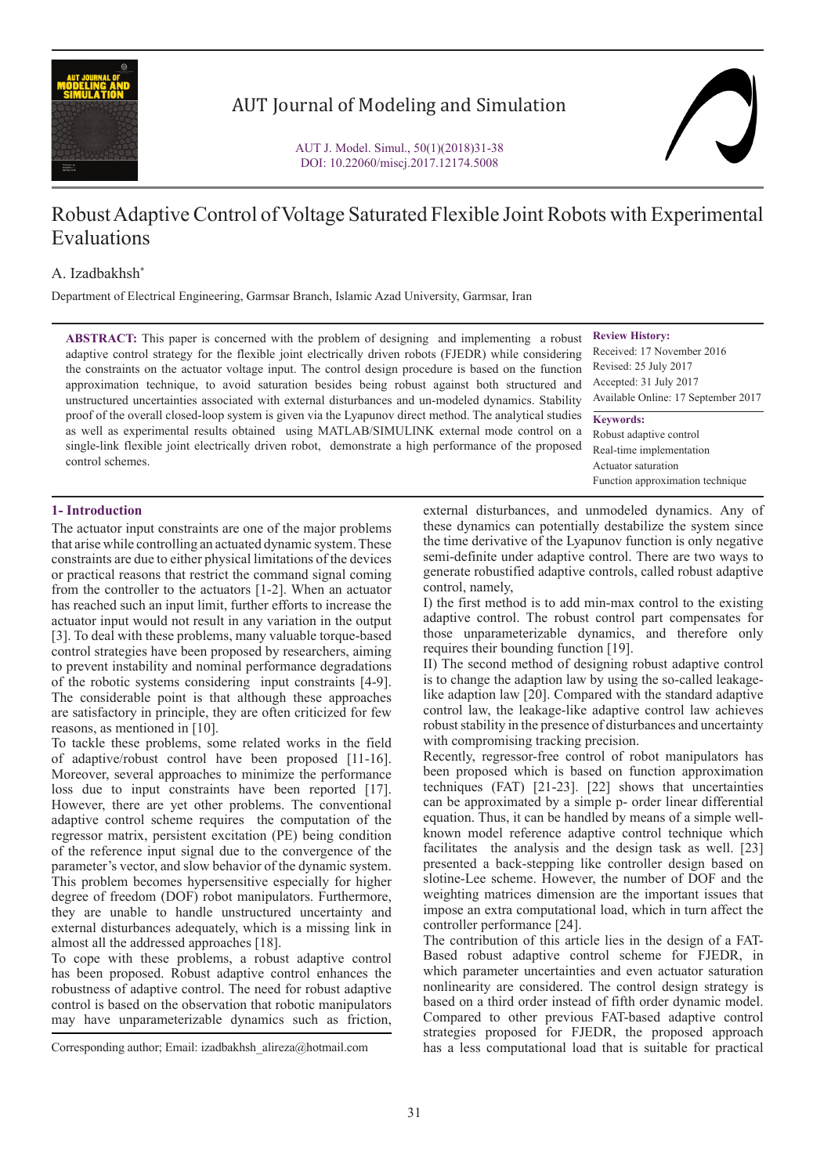

# AUT Journal of Modeling and Simulation

# Robust Adaptive Control of Voltage Saturated Flexible Joint Robots with Experimental Evaluations

## A. Izadbakhsh\*

Department of Electrical Engineering, Garmsar Branch, Islamic Azad University, Garmsar, Iran

**ABSTRACT:** This paper is concerned with the problem of designing and implementing a robust adaptive control strategy for the flexible joint electrically driven robots (FJEDR) while considering the constraints on the actuator voltage input. The control design procedure is based on the function approximation technique, to avoid saturation besides being robust against both structured and unstructured uncertainties associated with external disturbances and un-modeled dynamics. Stability proof of the overall closed-loop system is given via the Lyapunov direct method. The analytical studies as well as experimental results obtained using MATLAB/SIMULINK external mode control on a single-link flexible joint electrically driven robot, demonstrate a high performance of the proposed control schemes.

**Review History:** Received: 17 November 2016 Revised: 25 July 2017 Accepted: 31 July 2017 Available Online: 17 September 2017

**Keywords:** Robust adaptive control Real-time implementation Actuator saturation Function approximation technique

## **1- Introduction**

The actuator input constraints are one of the major problems that arise while controlling an actuated dynamic system. These constraints are due to either physical limitations of the devices or practical reasons that restrict the command signal coming from the controller to the actuators [1-2]. When an actuator has reached such an input limit, further efforts to increase the actuator input would not result in any variation in the output [3]. To deal with these problems, many valuable torque-based control strategies have been proposed by researchers, aiming to prevent instability and nominal performance degradations of the robotic systems considering input constraints [4-9]. The considerable point is that although these approaches are satisfactory in principle, they are often criticized for few reasons, as mentioned in [10].

To tackle these problems, some related works in the field of adaptive/robust control have been proposed [11-16]. Moreover, several approaches to minimize the performance loss due to input constraints have been reported [17]. However, there are yet other problems. The conventional adaptive control scheme requires the computation of the regressor matrix, persistent excitation (PE) being condition of the reference input signal due to the convergence of the parameter's vector, and slow behavior of the dynamic system. This problem becomes hypersensitive especially for higher degree of freedom (DOF) robot manipulators. Furthermore, they are unable to handle unstructured uncertainty and external disturbances adequately, which is a missing link in almost all the addressed approaches [18].

To cope with these problems, a robust adaptive control has been proposed. Robust adaptive control enhances the robustness of adaptive control. The need for robust adaptive control is based on the observation that robotic manipulators may have unparameterizable dynamics such as friction,

Corresponding author; Email: izadbakhsh\_alireza@hotmail.com

external disturbances, and unmodeled dynamics. Any of these dynamics can potentially destabilize the system since the time derivative of the Lyapunov function is only negative semi-definite under adaptive control. There are two ways to generate robustified adaptive controls, called robust adaptive control, namely,

I) the first method is to add min-max control to the existing adaptive control. The robust control part compensates for those unparameterizable dynamics, and therefore only requires their bounding function [19].

II) The second method of designing robust adaptive control is to change the adaption law by using the so-called leakagelike adaption law [20]. Compared with the standard adaptive control law, the leakage-like adaptive control law achieves robust stability in the presence of disturbances and uncertainty with compromising tracking precision.

Recently, regressor-free control of robot manipulators has been proposed which is based on function approximation techniques (FAT) [21-23]. [22] shows that uncertainties can be approximated by a simple p- order linear differential equation. Thus, it can be handled by means of a simple wellknown model reference adaptive control technique which facilitates the analysis and the design task as well. [23] presented a back-stepping like controller design based on slotine-Lee scheme. However, the number of DOF and the weighting matrices dimension are the important issues that impose an extra computational load, which in turn affect the controller performance [24].

The contribution of this article lies in the design of a FAT-Based robust adaptive control scheme for FJEDR, in which parameter uncertainties and even actuator saturation nonlinearity are considered. The control design strategy is based on a third order instead of fifth order dynamic model. Compared to other previous FAT-based adaptive control strategies proposed for FJEDR, the proposed approach has a less computational load that is suitable for practical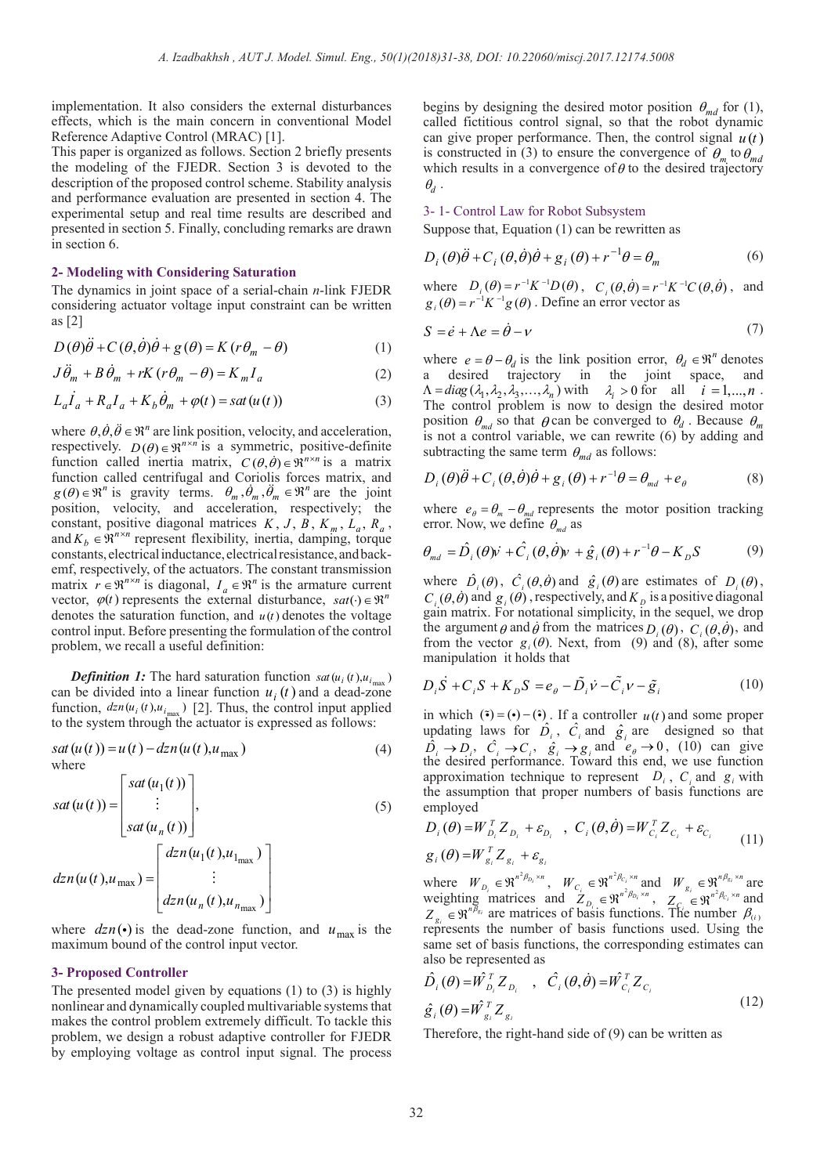implementation. It also considers the external disturbances effects, which is the main concern in conventional Model Reference Adaptive Control (MRAC) [1].

This paper is organized as follows. Section 2 briefly presents the modeling of the FJEDR. Section 3 is devoted to the description of the proposed control scheme. Stability analysis and performance evaluation are presented in section 4. The experimental setup and real time results are described and presented in section 5. Finally, concluding remarks are drawn in section 6.

### **2- Modeling with Considering Saturation**

The dynamics in joint space of a serial-chain *n*-link FJEDR considering actuator voltage input constraint can be written as [2]

(1)  $D(\theta)\ddot{\theta} + C(\theta, \dot{\theta})\dot{\theta} + g(\theta) = K(r\theta_m - \theta)$ 

$$
J\ddot{\theta}_m + B\dot{\theta}_m + rK(r\theta_m - \theta) = K_m I_a \tag{2}
$$

$$
L_a \dot{I}_a + R_a I_a + K_b \dot{\theta}_m + \varphi(t) = sat(u(t))
$$
\n(3)

where  $\theta$ ,  $\dot{\theta}$ ,  $\ddot{\theta} \in \mathbb{R}^n$  are link position, velocity, and acceleration, respectively.  $D(\theta) \in \mathbb{R}^{n \times n}$  is a symmetric, positive-definite function called inertia matrix,  $C(\theta, \theta) \in \mathbb{R}^{n \times n}$  is a matrix function called centrifugal and Coriolis forces matrix, and  $g(\theta) \in \mathbb{R}^n$  is gravity terms.  $\theta_m$ ,  $\dot{\theta}_m$ ,  $\ddot{\theta}_m \in \mathbb{R}^n$  are the joint position, velocity, and acceleration, respectively; the constant, positive diagonal matrices  $K, J, B, K_m, L_a, R_a$ , and  $K_b \in \mathbb{R}^{n \times n}$  represent flexibility, inertia, damping, torque constants, electrical inductance, electrical resistance, and backemf, respectively, of the actuators. The constant transmission matrix  $r \in \mathbb{R}^{n \times n}$  is diagonal,  $I_a \in \mathbb{R}^n$  is the armature current vector,  $\varphi(t)$  represents the external disturbance,  $sat(\cdot) \in \mathbb{R}^n$ denotes the saturation function, and  $u(t)$  denotes the voltage control input. Before presenting the formulation of the control problem, we recall a useful definition:

*Definition 1:* The hard saturation function  $sat(u_i(t), u_{i_{\text{max}}})$ can be divided into a linear function  $u_i(t)$  and a dead-zone function,  $\frac{dzn(u_i(t), u_{i_{max}})}{2}$ . Thus, the control input applied to the system through the actuator is expressed as follows:

$$
sat(u(t)) = u(t) - dzn(u(t), u_{\text{max}})
$$
\n(4)

$$
sat(u(t)) = \begin{bmatrix} sat(u_1(t)) \\ \vdots \\ sat(u_n(t)) \end{bmatrix},
$$
\n
$$
dzn(u(t), u_{\max}) = \begin{bmatrix} dzn(u_1(t), u_{1_{\max}}) \\ \vdots \\ dzn(u_n(t), u_{n_{\max}}) \end{bmatrix}
$$
\n(5)

where  $\frac{d z_n(\cdot)}{ }$  is the dead-zone function, and  $u_{\text{max}}$  is the maximum bound of the control input vector.

## **3- Proposed Controller**

The presented model given by equations (1) to (3) is highly nonlinear and dynamically coupled multivariable systems that makes the control problem extremely difficult. To tackle this problem, we design a robust adaptive controller for FJEDR by employing voltage as control input signal. The process

begins by designing the desired motor position  $\theta_{md}$  for (1), called fictitious control signal, so that the robot dynamic can give proper performance. Then, the control signal  $u(t)$ is constructed in (3) to ensure the convergence of  $\theta_m$  to  $\theta_{md}$ which results in a convergence of  $\theta$  to the desired trajectory  $\theta_d$ .

#### 3- 1- Control Law for Robot Subsystem

Suppose that, Equation (1) can be rewritten as

$$
D_i(\theta)\ddot{\theta} + C_i(\theta, \dot{\theta})\dot{\theta} + g_i(\theta) + r^{-1}\theta = \theta_m
$$
 (6)

where  $D_i(\theta) = r^{-1}K^{-1}D(\theta)$ ,  $C_i(\theta, \dot{\theta}) = r^{-1}K^{-1}C(\theta, \dot{\theta})$ , and  $g_i(\theta) = r^{-1}K^{-1}g(\theta)$ . Define an error vector as

$$
S = \dot{e} + \Lambda e = \dot{\theta} - v \tag{7}
$$

where  $e = \theta - \theta_d$  is the link position error,  $\theta_d \in \mathbb{R}^n$  denotes a desired trajectory in the joint space, and  $\Lambda = diag(\lambda_1, \lambda_2, \lambda_3, ..., \lambda_n)$  with  $\lambda_i > 0$  for all  $i = 1, ..., n$ . The control problem is now to design the desired motor position  $\theta_{md}$  so that  $\theta$  can be converged to  $\theta_d$ . Because  $\theta_m$ is not a control variable, we can rewrite (6) by adding and subtracting the same term  $\theta_{md}$  as follows:

$$
D_i(\theta)\ddot{\theta} + C_i(\theta,\dot{\theta})\dot{\theta} + g_i(\theta) + r^{-1}\theta = \theta_{md} + e_\theta
$$
 (8)

where  $e_{\theta} = \theta_m - \theta_{md}$  represents the motor position tracking error. Now, we define  $\theta_{md}$  as

$$
\theta_{md} = \hat{D}_i \left( \theta \right) \dot{v} + \hat{C}_i \left( \theta, \dot{\theta} \right) v + \hat{g}_i \left( \theta \right) + r^{-1} \theta - K_D S \tag{9}
$$

where  $\hat{D}_i(\theta)$ ,  $\hat{C}_i(\theta, \dot{\theta})$  and  $\hat{g}_i(\theta)$  are estimates of  $D_i(\theta)$ ,  $C_i(\theta, \dot{\theta})$  and  $g_i(\dot{\theta})$ , respectively, and  $K_p$  is a positive diagonal gain matrix. For notational simplicity, in the sequel, we drop the argument  $\theta$  and  $\dot{\theta}$  from the matrices  $D_i(\theta)$ ,  $C_i(\theta, \dot{\theta})$ , and from the vector  $g_i(\theta)$ . Next, from (9) and (8), after some manipulation it holds that

$$
D_i \dot{S} + C_i S + K_D S = e_\theta - \tilde{D_i} \dot{V} - \tilde{C_i} V - \tilde{g_i}
$$
 (10)

in which  $(\tilde{\bullet}) = (\bullet) - (\hat{\bullet})$ . If a controller  $u(t)$  and some proper updating laws for  $\hat{D}_i$ ,  $\hat{C}_i$  and  $\hat{g}_i$  are designed so that  $\hat{D}_i \rightarrow D_i$ ,  $\hat{C}_i \rightarrow C_i$ ,  $\hat{g}_i \rightarrow g_i$  and  $e_\theta \rightarrow 0$ , (10) can give the desired performance. Toward this end, we use function approximation technique to represent  $D_i$ ,  $C_i$  and  $g_i$  with the assumption that proper numbers of basis functions are employed

$$
D_i(\theta) = W_{D_i}^T Z_{D_i} + \varepsilon_{D_i} , C_i(\theta, \dot{\theta}) = W_{C_i}^T Z_{C_i} + \varepsilon_{C_i}
$$
  
\n
$$
g_i(\theta) = W_{g_i}^T Z_{g_i} + \varepsilon_{g_i}
$$
 (11)

where  $W_{D_i} \in \mathfrak{R}^{n^2 \beta_{D_i} \times n}$ ,  $W_{C_i} \in \mathfrak{R}^{n^2 \beta_{C_i} \times n}$  and  $W_{g_i} \in \mathfrak{R}^{n \beta_{g_i} \times n}$  are weighting matrices and  $Z_{D_i} \in \mathfrak{R}^{n^2 \beta_{D_i} \times n}$ ,  $Z_{C_i} \in \mathfrak{R}^{n^2 \beta_{C_i} \times n}$  and  $Z_{g_i} \in \mathfrak{R}^{n^B g_i}$  are matrices of basis functions. The number  $\beta_{(i)}$ represents the number of basis functions used. Using the same set of basis functions, the corresponding estimates can also be represented as

$$
\hat{D}_i(\theta) = \hat{W}_{D_i}^T Z_{D_i} \quad , \quad \hat{C}_i(\theta, \dot{\theta}) = \hat{W}_{C_i}^T Z_{C_i}
$$
\n
$$
\hat{g}_i(\theta) = \hat{W}_{g_i}^T Z_{g_i} \tag{12}
$$

Therefore, the right-hand side of (9) can be written as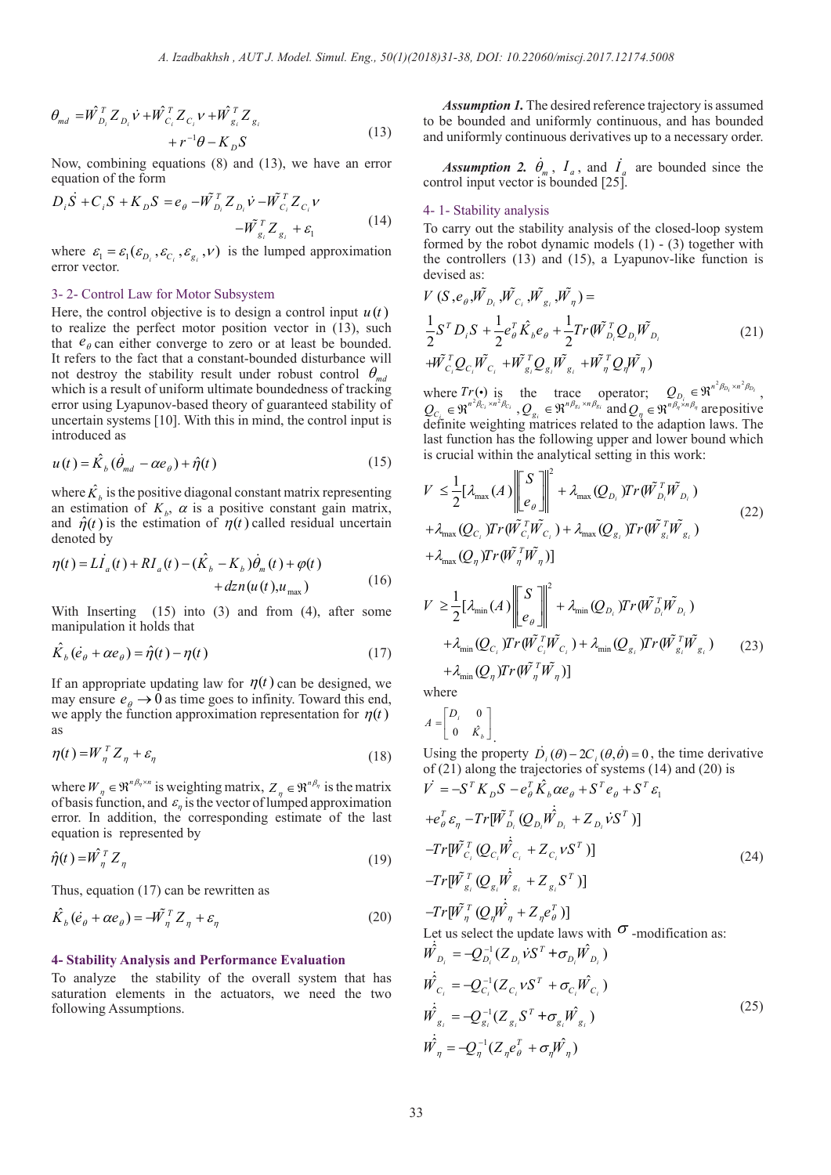$$
\theta_{md} = \hat{W}_{D_i}^T Z_{D_i} \vec{V} + \hat{W}_{C_i}^T Z_{C_i} V + \hat{W}_{g_i}^T Z_{g_i} + r^{-1} \theta - K_D S
$$
\n(13)

Now, combining equations (8) and (13), we have an error equation of the form

$$
D_i \dot{S} + C_i S + K_D S = e_{\theta} - \tilde{W}_{D_i}^T Z_{D_i} \dot{V} - \tilde{W}_{C_i}^T Z_{C_i} V - \tilde{W}_{g_i}^T Z_{g_i} + \varepsilon_1
$$
(14)

where  $\varepsilon_1 = \varepsilon_1 (\varepsilon_{D_i}, \varepsilon_{C_i}, \varepsilon_{g_i}, v)$  is the lumped approximation error vector.

# 3- 2- Control Law for Motor Subsystem

Here, the control objective is to design a control input  $u(t)$ to realize the perfect motor position vector in (13), such that  $e_{\theta}$  can either converge to zero or at least be bounded. It refers to the fact that a constant-bounded disturbance will not destroy the stability result under robust control  $\theta_{md}$ which is a result of uniform ultimate boundedness of tracking error using Lyapunov-based theory of guaranteed stability of uncertain systems [10]. With this in mind, the control input is introduced as

$$
u(t) = \hat{K}_b \left( \dot{\theta}_{md} - \alpha e_{\theta} \right) + \hat{\eta}(t)
$$
\n(15)

where  $\hat{K}_b$  is the positive diagonal constant matrix representing an estimation of  $K_b$ ,  $\alpha$  is a positive constant gain matrix, and  $\hat{\eta}(t)$  is the estimation of  $\eta(t)$  called residual uncertain denoted by

$$
\eta(t) = L\dot{I}_a(t) + RI_a(t) - (\hat{K}_b - K_b)\dot{\theta}_m(t) + \varphi(t) + dzn(u(t), u_{\text{max}})
$$
\n(16)

With Inserting (15) into (3) and from (4), after some manipulation it holds that

$$
\hat{K}_{b}(\dot{e}_{\theta} + \alpha e_{\theta}) = \hat{\eta}(t) - \eta(t)
$$
\n(17)

If an appropriate updating law for  $\eta(t)$  can be designed, we may ensure  $e_{\theta} \rightarrow 0$  as time goes to infinity. Toward this end, we apply the function approximation representation for  $\eta(t)$ as

$$
\eta(t) = W_{\eta}^T Z_{\eta} + \varepsilon_{\eta} \tag{18}
$$

where  $W_{\eta} \in \mathfrak{R}^{n\beta_{\eta} \times n}$  is weighting matrix,  $Z_{\eta} \in \mathfrak{R}^{n\beta_{\eta}}$  is the matrix of basis function, and  $\varepsilon_n$  is the vector of lumped approximation error. In addition, the corresponding estimate of the last equation is represented by

$$
\hat{\eta}(t) = \hat{W}_{\eta}^T Z_{\eta} \tag{19}
$$

Thus, equation (17) can be rewritten as

$$
\hat{K}_{b}(\dot{e}_{\theta} + \alpha e_{\theta}) = -\tilde{W}_{\eta}^{T} Z_{\eta} + \varepsilon_{\eta}
$$
\n(20)

### **4- Stability Analysis and Performance Evaluation**

To analyze the stability of the overall system that has saturation elements in the actuators, we need the two following Assumptions.

*Assumption 1.* The desired reference trajectory is assumed to be bounded and uniformly continuous, and has bounded and uniformly continuous derivatives up to a necessary order.

*Assumption 2.*  $\dot{\theta}_m$ ,  $I_a$ , and  $\dot{I}_a$  are bounded since the control input vector is bounded [25].

### 4- 1- Stability analysis

To carry out the stability analysis of the closed-loop system formed by the robot dynamic models  $(1)$  -  $(3)$  together with the controllers (13) and (15), a Lyapunov-like function is devised as:

$$
V(S, e_{\theta}, \tilde{W}_{D_i}, \tilde{W}_{C_i}, \tilde{W}_{g_i}, \tilde{W}_{\eta}) =
$$
  
\n
$$
\frac{1}{2}S^T D_i S + \frac{1}{2}e_{\theta}^T \hat{K}_{\theta} e_{\theta} + \frac{1}{2}Tr(\tilde{W}_{D_i}^T Q_{D_i} \tilde{W}_{D_i})
$$
  
\n
$$
+ \tilde{W}_{C_i}^T Q_{C_i} \tilde{W}_{C_i} + \tilde{W}_{g_i}^T Q_{g_i} \tilde{W}_{g_i} + \tilde{W}_{\eta}^T Q_{\eta} \tilde{W}_{\eta})
$$
\n(21)

where  $Tr(\cdot)$  is the trace operator;  $Q_{D_i} \in \mathbb{R}^{n^2 \beta_{D_i} \times n^2 \beta_{D_i}}$ ,<br>  $Q_{C_{i}} \in \mathbb{R}^{n^2 \beta_{C_i} \times n^2 \beta_{C_i}}$ ,  $Q_{g_i} \in \mathbb{R}^{n \beta_{g_i} \times n \beta_{g_i}}$  and  $Q_{\eta} \in \mathbb{R}^{n \beta_{g_i} \times n \beta_{\eta}}$  are positive  $\widetilde{\text{definite}}$  weighting matrices related to the adaption laws. The last function has the following upper and lower bound which is crucial within the analytical setting in this work:

$$
V \leq \frac{1}{2} [\lambda_{\max}(A) \left\| \begin{bmatrix} S \\ e_{\theta} \end{bmatrix} \right\|^{2} + \lambda_{\max}(Q_{D_{i}}) Tr(\tilde{W}_{D_{i}}^{T} \tilde{W}_{D_{i}})
$$
  
+  $\lambda_{\max}(Q_{C_{i}}) Tr(\tilde{W}_{C_{i}}^{T} \tilde{W}_{C_{i}}) + \lambda_{\max}(Q_{g_{i}}) Tr(\tilde{W}_{g_{i}}^{T} \tilde{W}_{g_{i}})$  (22)  
+  $\lambda_{\max}(Q_{\eta}) Tr(\tilde{W}_{\eta}^{T} \tilde{W}_{\eta})$ ]

$$
V \geq \frac{1}{2} [\lambda_{\min}(A) \left\| \begin{bmatrix} S \\ e_{\theta} \end{bmatrix} \right\|^2 + \lambda_{\min}(Q_{D_i}) Tr(\tilde{W}_{D_i}^T \tilde{W}_{D_i})
$$
  
+  $\lambda_{\min}(Q_{C_i}) Tr(\tilde{W}_{C_i}^T \tilde{W}_{C_i}) + \lambda_{\min}(Q_{g_i}) Tr(\tilde{W}_{g_i}^T \tilde{W}_{g_i})$  (23)  
+  $\lambda_{\min}(Q_{\eta}) Tr(\tilde{W}_{\eta}^T \tilde{W}_{\eta})$ ]

where

$$
A = \begin{bmatrix} D_i & 0 \\ 0 & \hat{K_b} \end{bmatrix}
$$

Using the property  $\dot{D}_i(\theta) - 2C_i(\theta, \dot{\theta}) = 0$ , the time derivative of (21) along the trajectories of systems (14) and (20) is  $T \hat{r}$ 

$$
\dot{V} = -S^T K_D S - e_\theta^T \hat{K}_b \alpha e_\theta + S^T e_\theta + S^T \varepsilon_1
$$
  
+  $e_\theta^T \varepsilon_\eta - Tr[\tilde{W}_{D_i}^T (Q_{D_i} \hat{W}_{D_i} + Z_{D_i} \hat{V} S^T)]$   
-  $Tr[\tilde{W}_{C_i}^T (Q_{C_i} \hat{W}_{C_i} + Z_{C_i} V S^T)]$   
-  $Tr[\tilde{W}_{g_i}^T (Q_{g_i} \hat{W}_{g_i} + Z_{g_i} S^T)]$   
-  $Tr[\tilde{W}_{\eta}^T (Q_{\eta} \hat{W}_{\eta} + Z_{\eta} e_\theta^T)]$   
Let us select the update laws with  $\sigma$  -modification as:

$$
\dot{W}_{D_i} = -Q_{D_i}^{-1} (Z_{D_i} \dot{v} S^T + \sigma_{D_i} \hat{W}_{D_i})
$$
\n
$$
\dot{W}_{C_i} = -Q_{C_i}^{-1} (Z_{C_i} v S^T + \sigma_{C_i} \hat{W}_{C_i})
$$
\n
$$
\dot{W}_{g_i} = -Q_{g_i}^{-1} (Z_{g_i} S^T + \sigma_{g_i} \hat{W}_{g_i})
$$
\n
$$
\dot{W}_{\eta} = -Q_{\eta}^{-1} (Z_{\eta} e_{\theta}^T + \sigma_{\eta} \hat{W}_{\eta})
$$
\n(25)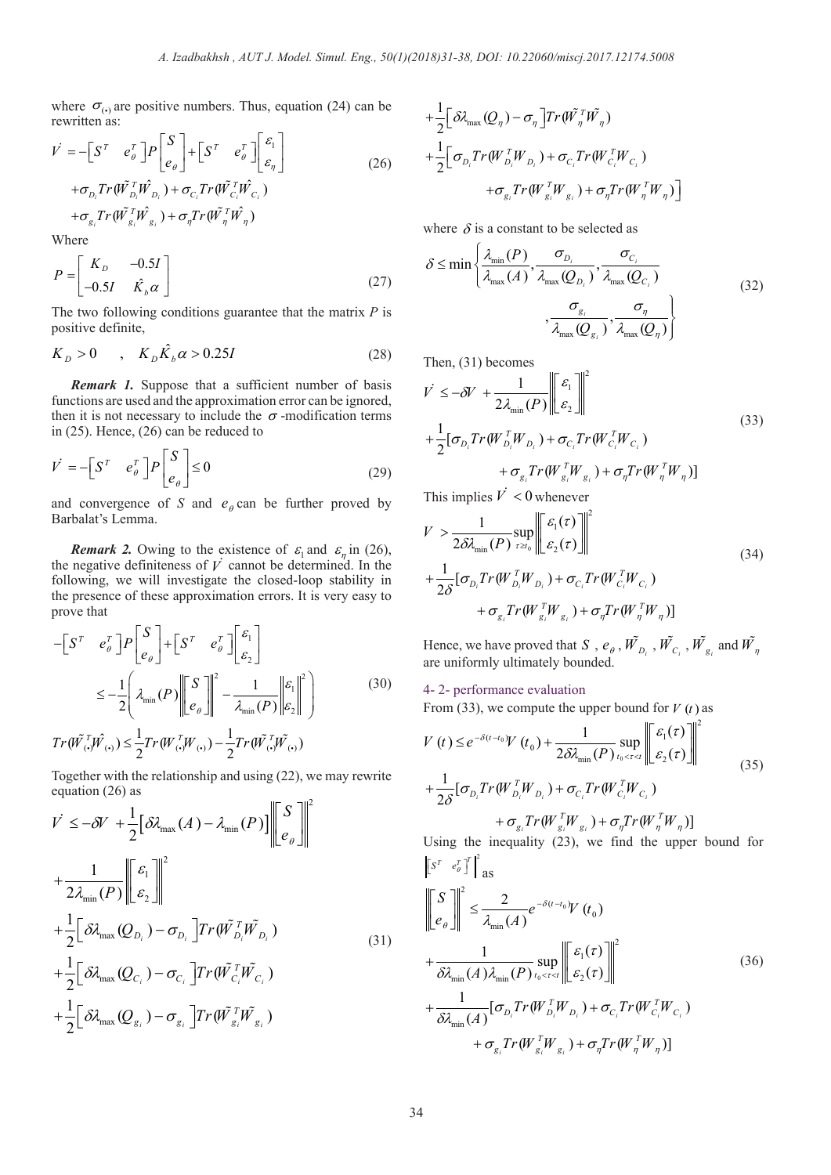where  $\sigma_{(\cdot)}$  are positive numbers. Thus, equation (24) can be rewritten as:  $\mathbf{r}$ 

$$
\vec{V} = -\begin{bmatrix} S^T & e_{\theta}^T \end{bmatrix} P \begin{bmatrix} S \\ e_{\theta} \end{bmatrix} + \begin{bmatrix} S^T & e_{\theta}^T \end{bmatrix} \begin{bmatrix} \varepsilon_1 \\ \varepsilon_n \end{bmatrix}
$$
  
+  $\sigma_{D_i} Tr(\tilde{W}_{D_i}^T \tilde{W}_{D_i}) + \sigma_{C_i} Tr(\tilde{W}_{C_i}^T \tilde{W}_{C_i})$   
+  $\sigma_{g_i} Tr(\tilde{W}_{g_i}^T \tilde{W}_{g_i}) + \sigma_{\eta} Tr(\tilde{W}_{\eta}^T \tilde{W}_{\eta})$  (26)

Where

$$
P = \begin{bmatrix} K_D & -0.5I \\ -0.5I & \hat{K}_b \alpha \end{bmatrix}
$$
 (27)

The two following conditions guarantee that the matrix *P* is positive definite,

$$
K_D > 0 \qquad , \quad K_D \hat{K}_b \alpha > 0.25I \tag{28}
$$

*Remark 1.* Suppose that a sufficient number of basis functions are used and the approximation error can be ignored, then it is not necessary to include the  $\sigma$ -modification terms in (25). Hence, (26) can be reduced to

$$
\dot{V} = -\begin{bmatrix} S^T & e_{\theta}^T \end{bmatrix} P \begin{bmatrix} S \\ e_{\theta} \end{bmatrix} \le 0
$$
 (29)

and convergence of *S* and  $e_{\theta}$  can be further proved by Barbalat's Lemma.

*Remark 2.* Owing to the existence of  $\varepsilon_1$  and  $\varepsilon_n$  in (26), the negative definiteness of  $\vec{V}$  cannot be determined. In the following, we will investigate the closed-loop stability in the presence of these approximation errors. It is very easy to prove that

$$
-\left[S^{T} e_{\theta}^{T}\right]P\left[\begin{matrix} S\\ e_{\theta} \end{matrix}\right]+\left[S^{T} e_{\theta}^{T}\right]\left[\begin{matrix} \varepsilon_{1} \\ \varepsilon_{2} \end{matrix}\right]
$$

$$
\leq -\frac{1}{2}\left(\lambda_{\min}(P)\left\|\begin{matrix} S\\ e_{\theta} \end{matrix}\right\|^{2}-\frac{1}{\lambda_{\min}(P)}\left\|\varepsilon_{1}\right\|^{2}\right)
$$

$$
Tr(\tilde{W}_{\varsigma}^{T}\tilde{W}_{\varsigma})\leq \frac{1}{2}Tr(W_{\varsigma}^{T}\tilde{W}_{\varsigma})-\frac{1}{2}Tr(\tilde{W}_{\varsigma}^{T}\tilde{W}_{\varsigma})
$$
(30)

Together with the relationship and using (22), we may rewrite equation (26) as

$$
\dot{V} \leq -\delta V + \frac{1}{2} [\delta \lambda_{\max}(A) - \lambda_{\min}(P)] \left\| \begin{bmatrix} S \\ e_{\theta} \end{bmatrix} \right\|^2
$$
  
+ 
$$
\frac{1}{2\lambda_{\min}(P)} \left\| \begin{bmatrix} \varepsilon_1 \\ \varepsilon_2 \end{bmatrix} \right\|^2
$$
  
+ 
$$
\frac{1}{2} [\delta \lambda_{\max}(Q_{D_i}) - \sigma_{D_i}] Tr(\tilde{W}_{D_i}^T \tilde{W}_{D_i})
$$
  
+ 
$$
\frac{1}{2} [\delta \lambda_{\max}(Q_{C_i}) - \sigma_{C_i}] Tr(\tilde{W}_{C_i}^T \tilde{W}_{C_i})
$$
  
+ 
$$
\frac{1}{2} [\delta \lambda_{\max}(Q_{g_i}) - \sigma_{g_i}] Tr(\tilde{W}_{g_i}^T \tilde{W}_{g_i})
$$
 (31)

$$
+\frac{1}{2}\Big[\delta\lambda_{\max}(Q_{\eta})-\sigma_{\eta}\Big]Tr(\tilde{W}_{\eta}^{T}\tilde{W}_{\eta})
$$
  
+
$$
\frac{1}{2}\Big[\sigma_{D_{i}}Tr(W_{D_{i}}^{T}W_{D_{i}})+\sigma_{C_{i}}Tr(W_{C_{i}}^{T}W_{C_{i}})
$$
  
+
$$
\sigma_{g_{i}}Tr(W_{g_{i}}^{T}W_{g_{i}})+\sigma_{\eta}Tr(W_{\eta}^{T}W_{\eta})\Big]
$$

where  $\delta$  is a constant to be selected as

$$
\delta \le \min \left\{ \frac{\lambda_{\min}(P)}{\lambda_{\max}(A)}, \frac{\sigma_{D_i}}{\lambda_{\max}(Q_{D_i})}, \frac{\sigma_{C_i}}{\lambda_{\max}(Q_{C_i})}, \frac{\sigma_{C_i}}{\lambda_{\max}(Q_{C_i})}, \frac{\sigma_{\eta}}{\lambda_{\max}(Q_{\eta})} \right\}
$$
(32)

Then, (31) becomes

$$
\begin{split} V &\leq -\delta V + \frac{1}{2\lambda_{\min}(P)} \left\| \left[ \varepsilon_1 \right] \right\|^2 \\ &+ \frac{1}{2} [\sigma_{D_i} Tr(W_{D_i}^T W_{D_i}) + \sigma_{C_i} Tr(W_{C_i}^T W_{C_i}) \\ &+ \sigma_{g_i} Tr(W_{g_i}^T W_{g_i}) + \sigma_{\eta} Tr(W_{\eta}^T W_{\eta})] \end{split} \tag{33}
$$

This implies  $V < 0$  whenever

$$
V > \frac{1}{2\delta\lambda_{\min}(P)} \sup_{\tau \ge t_0} \left\| \left[ \mathcal{E}_1(\tau) \right] \right\|^2
$$
  
+ 
$$
\frac{1}{2\delta} [\sigma_{D_i} Tr(W_{D_i}^T W_{D_i}) + \sigma_{C_i} Tr(W_{C_i}^T W_{C_i}) + \sigma_{g_i} Tr(W_{g_i}^T W_{g_i}) + \sigma_{\eta} Tr(W_{\eta}^T W_{\eta})]
$$
  
(34)

Hence, we have proved that  $S$  ,  $e_{\theta}$  ,  $\tilde{W_{D_i}}$  ,  $\tilde{W_{C_i}}$  ,  $\tilde{W_{g_i}}$  and  $\tilde{W_{\eta}}$ are uniformly ultimately bounded.

### 4- 2- performance evaluation

From (33), we compute the upper bound for  $V(t)$  as

$$
V(t) \leq e^{-\delta(t-t_0)} V(t_0) + \frac{1}{2\delta\lambda_{\min}(P)} \sup_{t_0 < \tau < t} \left\| \varepsilon_1(\tau) \right\|^2
$$
  
+ 
$$
\frac{1}{2\delta} [\sigma_{D_i} Tr(W_{D_i}^T W_{D_i}) + \sigma_{C_i} Tr(W_{C_i}^T W_{C_i}) + \sigma_{g_i} Tr(W_{g_i}^T W_{g_i}) + \sigma_{\eta} Tr(W_{\eta}^T W_{\eta})]
$$
(35)

Using the inequality (23), we find the upper bound for  $\left\| S^T e_{\theta}^T \right\|^2$ 

$$
\begin{aligned}\n\left\| \left[ \frac{S}{e_{\theta}} \right] \right\|^2 &\leq \frac{2}{\lambda_{\min}(A)} e^{-\delta(t-t_0)} V(t_0) \\
&+ \frac{1}{\delta \lambda_{\min}(A) \lambda_{\min}(P)} \sup_{t_0 < \tau < t} \left\| \left[ \frac{\varepsilon_1(\tau)}{\varepsilon_2(\tau)} \right] \right\|^2 \\
&+ \frac{1}{\delta \lambda_{\min}(A)} [\sigma_{D_i} Tr(W_{D_i}^T W_{D_i}) + \sigma_{C_i} Tr(W_{C_i}^T W_{C_i}) \\
&\quad + \sigma_{g_i} Tr(W_{g_i}^T W_{g_i}) + \sigma_{\eta} Tr(W_{\eta}^T W_{\eta})]\n\end{aligned}\n\tag{36}
$$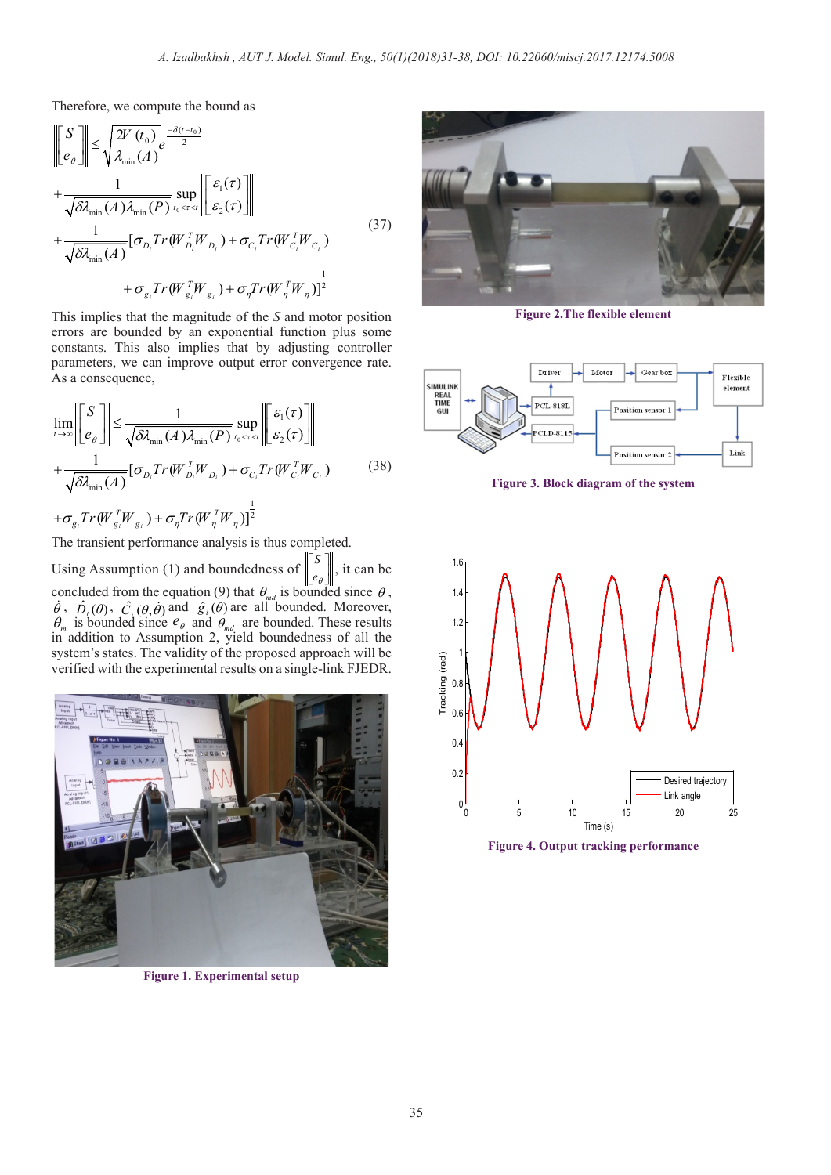Therefore, we compute the bound as

$$
\begin{split}\n\begin{aligned}\n\begin{bmatrix}\nS \\
e_{\theta}\n\end{bmatrix} &\leq \sqrt{\frac{2V(t_0)}{\lambda_{\min}(A)}} e^{-\delta(t-t_0)} \\
&+ \frac{1}{\sqrt{\delta\lambda_{\min}(A)\lambda_{\min}(P)}} \sup_{t_0 < \tau < t} \n\begin{bmatrix}\n\varepsilon_1(\tau) \\
\varepsilon_2(\tau)\n\end{bmatrix} \\
&+ \frac{1}{\sqrt{\delta\lambda_{\min}(A)}} [\sigma_{D_i} Tr(W_{D_i}^T W_{D_i}) + \sigma_{C_i} Tr(W_{C_i}^T W_{C_i}) \\
&+ \sigma_{g_i} Tr(W_{g_i}^T W_{g_i}) + \sigma_{\eta} Tr(W_{\eta}^T W_{\eta})]^{\frac{1}{2}}\n\end{split} \tag{37}
$$

This implies that the magnitude of the *S* and motor position errors are bounded by an exponential function plus some constants. This also implies that by adjusting controller parameters, we can improve output error convergence rate. As a consequence,

$$
\lim_{t \to \infty} \left\| \left[ \frac{S}{e_{\theta}} \right] \right\| \leq \frac{1}{\sqrt{\delta \lambda_{\min}(A) \lambda_{\min}(P)} \sup_{t_0 < \tau < t} \left\| \left[ \frac{\varepsilon_1(\tau)}{\varepsilon_2(\tau)} \right] \right\|
$$
\n
$$
+ \frac{1}{\sqrt{\delta \lambda_{\min}(A)}} [\sigma_{D_i} Tr(W_{D_i}^T W_{D_i}) + \sigma_{C_i} Tr(W_{C_i}^T W_{C_i}) \tag{38}
$$
\n
$$
+ \sigma_{g_i} Tr(W_{g_i}^T W_{g_i}) + \sigma_{\eta} Tr(W_{\eta}^T W_{\eta})]^{\frac{1}{2}}
$$

The transient performance analysis is thus completed.

Using Assumption (1) and boundedness of *S e*θ  $|S|$ it can be concluded from the equation (9) that  $\theta_{md}$  is bounded since  $\theta$ ,  $\dot{\theta}$ ,  $\hat{D}_i(\theta)$ ,  $\hat{C}_i(\theta, \dot{\theta})$  and  $\hat{g}_i(\theta)$  are all bounded. Moreover,  $\theta_m$  is bounded since  $e_{\theta}$  and  $\theta_{md}$  are bounded. These results in addition to Assumption 2, yield boundedness of all the system's states. The validity of the proposed approach will be verified with the experimental results on a single-link FJEDR.



**Figure 1. Experimental setup**



**Figure 2.The flexible element**



**Figure 3. Block diagram of the system**



**Figure 4. Output tracking performance**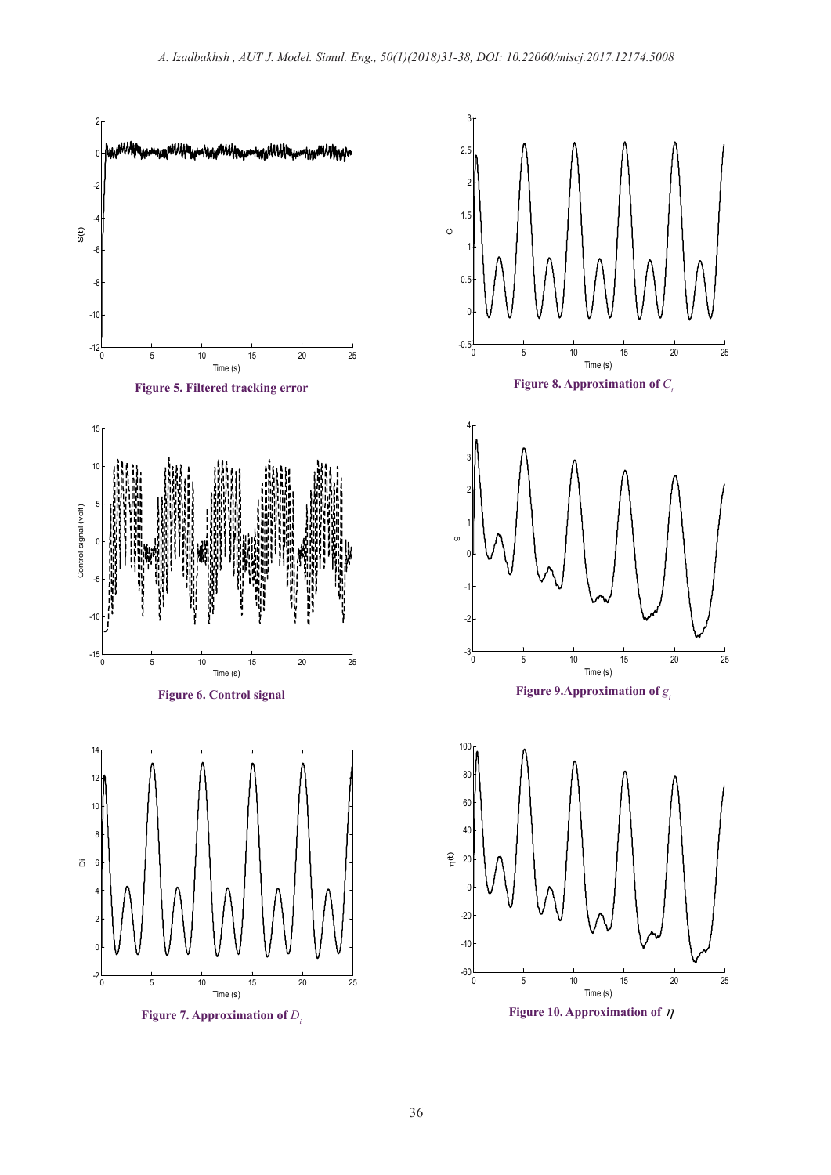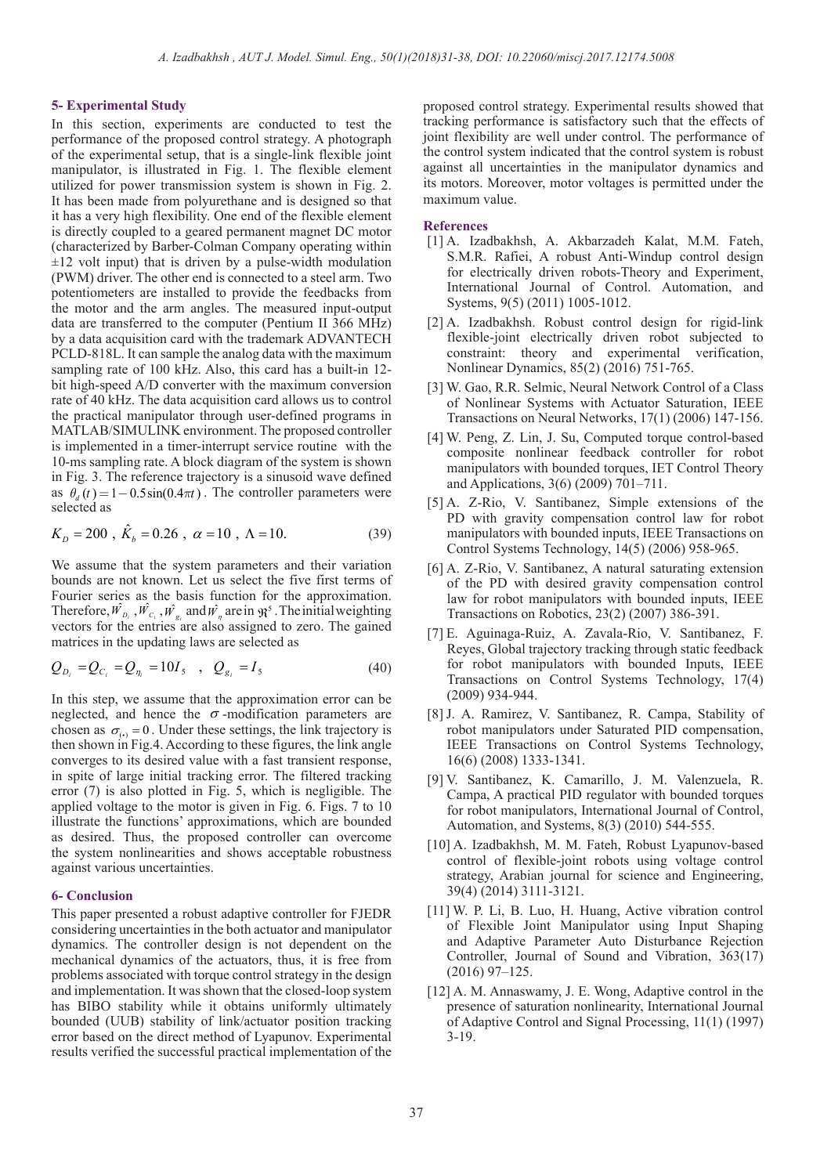### **5- Experimental Study**

In this section, experiments are conducted to test the performance of the proposed control strategy. A photograph of the experimental setup, that is a single-link flexible joint manipulator, is illustrated in Fig. 1. The flexible element utilized for power transmission system is shown in Fig. 2. It has been made from polyurethane and is designed so that it has a very high flexibility. One end of the flexible element is directly coupled to a geared permanent magnet DC motor (characterized by Barber-Colman Company operating within  $\pm 12$  volt input) that is driven by a pulse-width modulation (PWM) driver. The other end is connected to a steel arm. Two potentiometers are installed to provide the feedbacks from the motor and the arm angles. The measured input-output data are transferred to the computer (Pentium II 366 MHz) by a data acquisition card with the trademark ADVANTECH PCLD-818L. It can sample the analog data with the maximum sampling rate of 100 kHz. Also, this card has a built-in 12 bit high-speed A/D converter with the maximum conversion rate of 40 kHz. The data acquisition card allows us to control the practical manipulator through user-defined programs in MATLAB/SIMULINK environment. The proposed controller is implemented in a timer-interrupt service routine with the 10-ms sampling rate. A block diagram of the system is shown in Fig. 3. The reference trajectory is a sinusoid wave defined as  $\theta_a(t) = 1 - 0.5\sin(0.4\pi t)$ . The controller parameters were selected as

$$
K_{D} = 200 \, , \, \hat{K}_{b} = 0.26 \, , \, \alpha = 10 \, , \, \Lambda = 10. \tag{39}
$$

We assume that the system parameters and their variation bounds are not known. Let us select the five first terms of Fourier series as the basis function for the approximation. Therefore,  $\hat{W}_{p_i}$ ,  $\hat{W}_{c_i}$ ,  $\hat{W}_{g_i}$  and  $\hat{W}_{\eta}$  are in  $\Re^5$ . The initial weighting vectors for the entries are also assigned to zero. The gained matrices in the updating laws are selected as

$$
Q_{D_i} = Q_{C_i} = Q_{\eta_i} = 10I_5 \quad , \quad Q_{g_i} = I_5 \tag{40}
$$

In this step, we assume that the approximation error can be neglected, and hence the  $\sigma$ -modification parameters are chosen as  $\sigma_{\odot} = 0$ . Under these settings, the link trajectory is then shown in Fig.4. According to these figures, the link angle converges to its desired value with a fast transient response, in spite of large initial tracking error. The filtered tracking error (7) is also plotted in Fig. 5, which is negligible. The applied voltage to the motor is given in Fig. 6. Figs. 7 to 10 illustrate the functions' approximations, which are bounded as desired. Thus, the proposed controller can overcome the system nonlinearities and shows acceptable robustness against various uncertainties.

### **6- Conclusion**

This paper presented a robust adaptive controller for FJEDR considering uncertainties in the both actuator and manipulator dynamics. The controller design is not dependent on the mechanical dynamics of the actuators, thus, it is free from problems associated with torque control strategy in the design and implementation. It was shown that the closed-loop system has BIBO stability while it obtains uniformly ultimately bounded (UUB) stability of link/actuator position tracking error based on the direct method of Lyapunov. Experimental results verified the successful practical implementation of the

proposed control strategy. Experimental results showed that tracking performance is satisfactory such that the effects of joint flexibility are well under control. The performance of the control system indicated that the control system is robust against all uncertainties in the manipulator dynamics and its motors. Moreover, motor voltages is permitted under the maximum value.

#### **References**

- [1] A. Izadbakhsh, A. Akbarzadeh Kalat, M.M. Fateh, S.M.R. Rafiei, A robust Anti-Windup control design for electrically driven robots-Theory and Experiment, International Journal of Control. Automation, and Systems, 9(5) (2011) 1005-1012.
- [2] A. Izadbakhsh. Robust control design for rigid-link flexible-joint electrically driven robot subjected to constraint: theory and experimental verification, Nonlinear Dynamics, 85(2) (2016) 751-765.
- [3] W. Gao, R.R. Selmic, Neural Network Control of a Class of Nonlinear Systems with Actuator Saturation, IEEE Transactions on Neural Networks, 17(1) (2006) 147-156.
- [4] W. Peng, Z. Lin, J. Su, Computed torque control-based composite nonlinear feedback controller for robot manipulators with bounded torques, IET Control Theory and Applications, 3(6) (2009) 701–711.
- [5] A. Z-Rio, V. Santibanez, Simple extensions of the PD with gravity compensation control law for robot manipulators with bounded inputs, IEEE Transactions on Control Systems Technology, 14(5) (2006) 958-965.
- [6] A. Z-Rio, V. Santibanez, A natural saturating extension of the PD with desired gravity compensation control law for robot manipulators with bounded inputs, IEEE Transactions on Robotics, 23(2) (2007) 386-391.
- [7] E. Aguinaga-Ruiz, A. Zavala-Rio, V. Santibanez, F. Reyes, Global trajectory tracking through static feedback for robot manipulators with bounded Inputs, IEEE Transactions on Control Systems Technology, 17(4) (2009) 934-944.
- [8] J. A. Ramirez, V. Santibanez, R. Campa, Stability of robot manipulators under Saturated PID compensation, IEEE Transactions on Control Systems Technology, 16(6) (2008) 1333-1341.
- [9] V. Santibanez, K. Camarillo, J. M. Valenzuela, R. Campa, A practical PID regulator with bounded torques for robot manipulators, International Journal of Control, Automation, and Systems, 8(3) (2010) 544-555.
- [10] A. Izadbakhsh, M. M. Fateh, Robust Lyapunov-based control of flexible-joint robots using voltage control strategy, Arabian journal for science and Engineering, 39(4) (2014) 3111-3121.
- [11] W. P. Li, B. Luo, H. Huang, Active vibration control of Flexible Joint Manipulator using Input Shaping and Adaptive Parameter Auto Disturbance Rejection Controller, Journal of Sound and Vibration, 363(17) (2016) 97–125.
- [12] A. M. Annaswamy, J. E. Wong, Adaptive control in the presence of saturation nonlinearity, International Journal of Adaptive Control and Signal Processing, 11(1) (1997) 3-19.